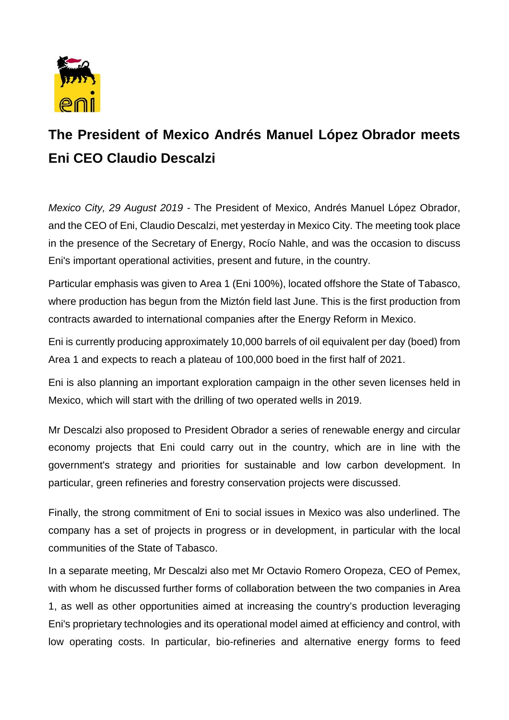

## **The President of Mexico Andrés Manuel López Obrador meets Eni CEO Claudio Descalzi**

*Mexico City, 29 August 2019 -* The President of Mexico, Andrés Manuel López Obrador, and the CEO of Eni, Claudio Descalzi, met yesterday in Mexico City. The meeting took place in the presence of the Secretary of Energy, Rocío Nahle, and was the occasion to discuss Eni's important operational activities, present and future, in the country.

Particular emphasis was given to Area 1 (Eni 100%), located offshore the State of Tabasco, where production has begun from the Miztón field last June. This is the first production from contracts awarded to international companies after the Energy Reform in Mexico.

Eni is currently producing approximately 10,000 barrels of oil equivalent per day (boed) from Area 1 and expects to reach a plateau of 100,000 boed in the first half of 2021.

Eni is also planning an important exploration campaign in the other seven licenses held in Mexico, which will start with the drilling of two operated wells in 2019.

Mr Descalzi also proposed to President Obrador a series of renewable energy and circular economy projects that Eni could carry out in the country, which are in line with the government's strategy and priorities for sustainable and low carbon development. In particular, green refineries and forestry conservation projects were discussed.

Finally, the strong commitment of Eni to social issues in Mexico was also underlined. The company has a set of projects in progress or in development, in particular with the local communities of the State of Tabasco.

In a separate meeting, Mr Descalzi also met Mr Octavio Romero Oropeza, CEO of Pemex, with whom he discussed further forms of collaboration between the two companies in Area 1, as well as other opportunities aimed at increasing the country's production leveraging Eni's proprietary technologies and its operational model aimed at efficiency and control, with low operating costs. In particular, bio-refineries and alternative energy forms to feed